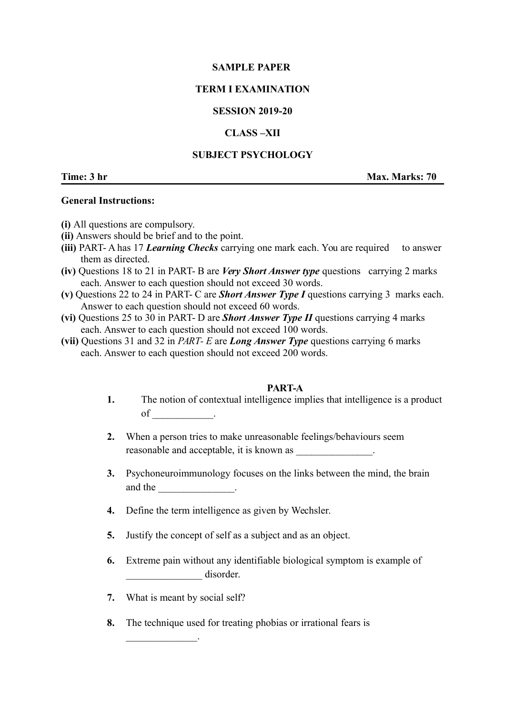## **SAMPLE PAPER**

# **TERM I EXAMINATION**

## **SESSION 2019-20**

## **CLASS –XII**

## **SUBJECT PSYCHOLOGY**

**Time: 3 hr Max. Marks: 70** 

## **General Instructions:**

- **(i)** All questions are compulsory.
- **(ii)** Answers should be brief and to the point.
- **(iii)** PART- A has 17 *Learning Checks* carrying one mark each. You are required to answer them as directed.
- **(iv)** Questions 18 to 21 in PART- B are *Very Short Answer type* questions carrying 2 marks each. Answer to each question should not exceed 30 words.
- **(v)** Questions 22 to 24 in PART- C are *Short Answer Type I* questions carrying 3 marks each. Answer to each question should not exceed 60 words.
- **(vi)** Questions 25 to 30 in PART- D are *Short Answer Type II* questions carrying 4 marks each. Answer to each question should not exceed 100 words.
- **(vii)** Questions 31 and 32 in *PART- E* are *Long Answer Type* questions carrying 6 marks each. Answer to each question should not exceed 200 words.

#### **PART-A**

- **1.** The notion of contextual intelligence implies that intelligence is a product of \_\_\_\_\_\_\_\_\_\_\_\_.
- **2.** When a person tries to make unreasonable feelings/behaviours seem reasonable and acceptable, it is known as  $\blacksquare$
- **3.** Psychoneuroimmunology focuses on the links between the mind, the brain and the  $\qquad$
- **4.** Define the term intelligence as given by Wechsler.
- **5.** Justify the concept of self as a subject and as an object.
- **6.** Extreme pain without any identifiable biological symptom is example of disorder.
- **7.** What is meant by social self?

 $\mathcal{L}=\mathcal{L}^{\text{max}}$ 

**8.** The technique used for treating phobias or irrational fears is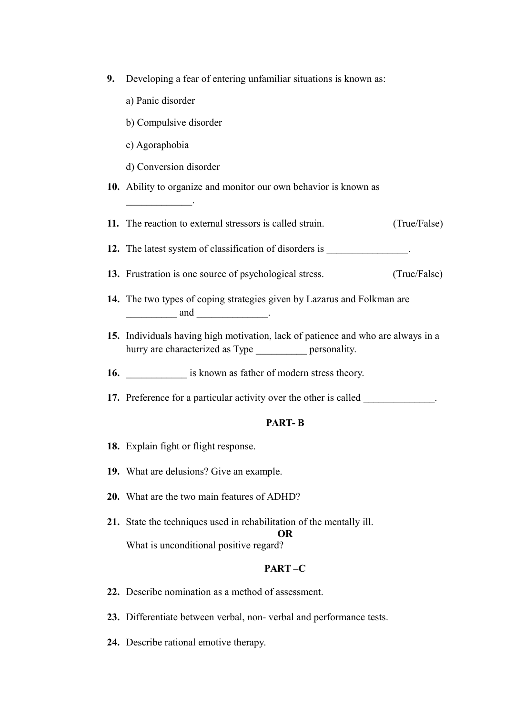- **9.** Developing a fear of entering unfamiliar situations is known as:
	- a) Panic disorder
	- b) Compulsive disorder
	- c) Agoraphobia

 $\mathcal{L}=\mathcal{L}^{\text{max}}$ 

- d) Conversion disorder
- **10.** Ability to organize and monitor our own behavior is known as
- **11.** The reaction to external stressors is called strain. (True/False)
- **12.** The latest system of classification of disorders is \_\_\_\_\_\_\_\_\_\_\_\_\_\_\_.
- **13.** Frustration is one source of psychological stress. (True/False)
- **14.** The two types of coping strategies given by Lazarus and Folkman are  $\frac{1}{\sqrt{1-\frac{1}{2}}}$  and
- **15.** Individuals having high motivation, lack of patience and who are always in a hurry are characterized as Type \_\_\_\_\_\_\_\_\_\_\_ personality.
- **16.** \_\_\_\_\_\_\_\_\_\_\_\_\_\_ is known as father of modern stress theory.
- **17.** Preference for a particular activity over the other is called

## **PART- B**

- **18.** Explain fight or flight response.
- **19.** What are delusions? Give an example.
- **20.** What are the two main features of ADHD?
- **21.** State the techniques used in rehabilitation of the mentally ill. **OR** What is unconditional positive regard?

#### **PART –C**

- **22.** Describe nomination as a method of assessment.
- **23.** Differentiate between verbal, non- verbal and performance tests.
- **24.** Describe rational emotive therapy.